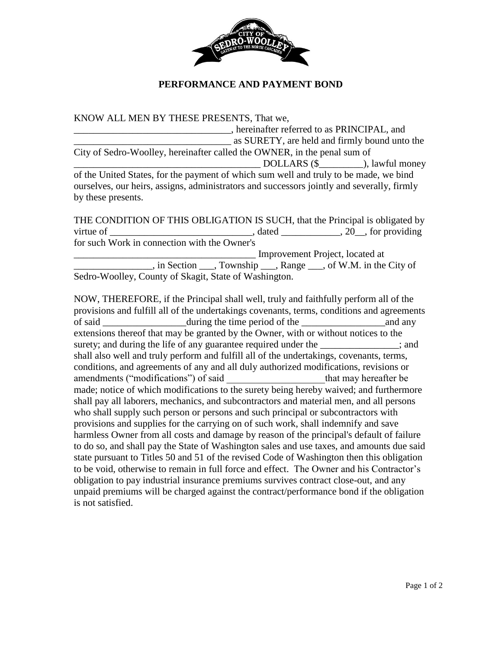

## **PERFORMANCE AND PAYMENT BOND**

KNOW ALL MEN BY THESE PRESENTS, That we, \_\_\_\_\_\_\_\_\_\_\_\_\_\_\_\_\_\_\_\_\_\_\_\_\_\_\_\_\_\_\_\_, hereinafter referred to as PRINCIPAL, and \_\_\_\_\_\_\_\_\_\_\_\_\_\_\_\_\_\_\_\_\_\_\_\_\_\_\_\_\_\_\_\_ as SURETY, are held and firmly bound unto the City of Sedro-Woolley, hereinafter called the OWNER, in the penal sum of DOLLARS (\$  $\qquad \qquad$  ), lawful money of the United States, for the payment of which sum well and truly to be made, we bind ourselves, our heirs, assigns, administrators and successors jointly and severally, firmly by these presents.

THE CONDITION OF THIS OBLIGATION IS SUCH, that the Principal is obligated by virtue of \_\_\_\_\_\_\_\_\_\_\_\_\_\_\_\_\_\_\_\_\_\_\_\_\_\_\_\_\_\_\_\_, dated \_\_\_\_\_\_\_\_\_\_\_, 20\_\_, for providing for such Work in connection with the Owner's \_\_\_\_\_\_\_\_\_\_\_\_\_\_\_\_\_\_\_\_\_\_\_\_\_\_\_\_\_\_\_\_\_\_\_\_\_ Improvement Project, located at \_\_\_\_\_\_\_\_\_\_\_\_\_\_\_\_, in Section \_\_\_, Township \_\_\_, Range \_\_\_, of W.M. in the City of Sedro-Woolley, County of Skagit, State of Washington.

NOW, THEREFORE, if the Principal shall well, truly and faithfully perform all of the provisions and fulfill all of the undertakings covenants, terms, conditions and agreements of said during the time period of the and any extensions thereof that may be granted by the Owner, with or without notices to the surety; and during the life of any guarantee required under the \_\_\_\_\_\_\_\_\_\_\_\_\_\_; and shall also well and truly perform and fulfill all of the undertakings, covenants, terms, conditions, and agreements of any and all duly authorized modifications, revisions or amendments ("modifications") of said that may hereafter be made; notice of which modifications to the surety being hereby waived; and furthermore shall pay all laborers, mechanics, and subcontractors and material men, and all persons who shall supply such person or persons and such principal or subcontractors with provisions and supplies for the carrying on of such work, shall indemnify and save harmless Owner from all costs and damage by reason of the principal's default of failure to do so, and shall pay the State of Washington sales and use taxes, and amounts due said state pursuant to Titles 50 and 51 of the revised Code of Washington then this obligation to be void, otherwise to remain in full force and effect. The Owner and his Contractor's obligation to pay industrial insurance premiums survives contract close-out, and any unpaid premiums will be charged against the contract/performance bond if the obligation is not satisfied.